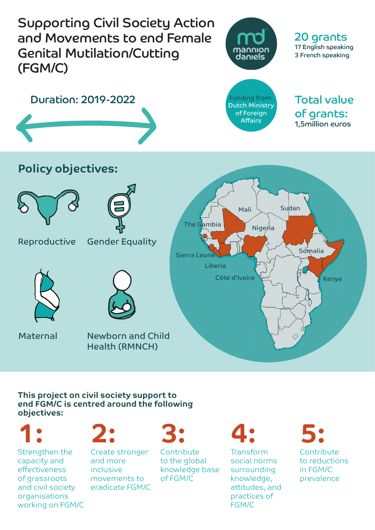

## **This project on civil society support to end FGM/C is centred around the following objectives:**

Strengthen the capacity and effectiveness of grassroots and civil society organisations working on FGM/C



Create stronger and more inclusive movements to eradicate FGM/C

Contribute to the global knowledge base of FGM/C

Transform social norms surrounding knowledge, attitudes, and practices of FGM/C